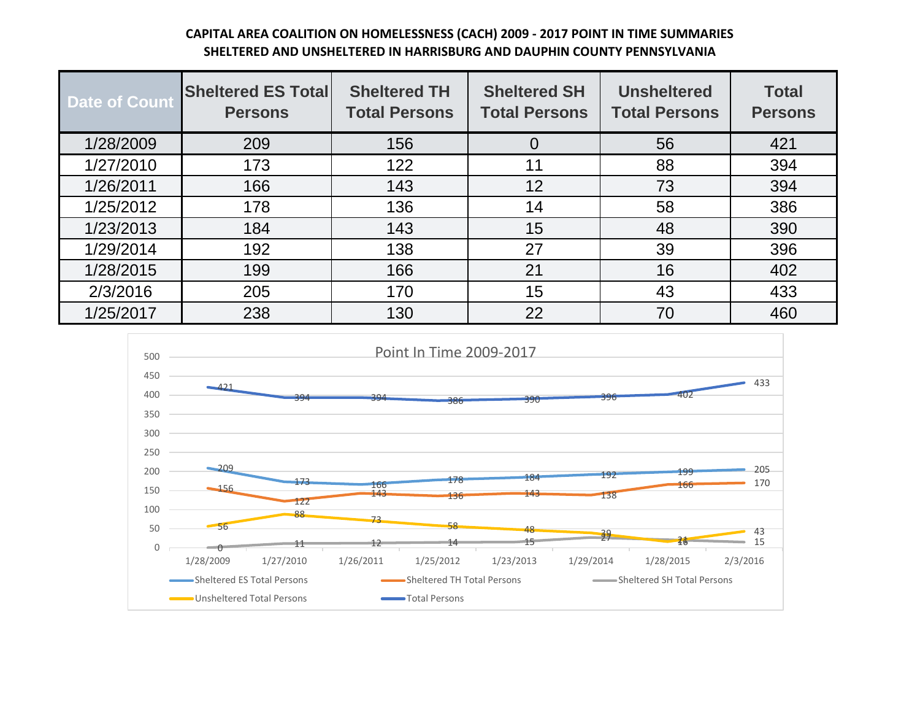## **CAPITAL AREA COALITION ON HOMELESSNESS (CACH) 2009 - 2017 POINT IN TIME SUMMARIES SHELTERED AND UNSHELTERED IN HARRISBURG AND DAUPHIN COUNTY PENNSYLVANIA**

| <b>Date of Count</b> | <b>Sheltered ES Total</b><br><b>Persons</b> | <b>Sheltered TH</b><br><b>Total Persons</b> | <b>Sheltered SH</b><br><b>Total Persons</b> | <b>Unsheltered</b><br><b>Total Persons</b> | <b>Total</b><br><b>Persons</b> |
|----------------------|---------------------------------------------|---------------------------------------------|---------------------------------------------|--------------------------------------------|--------------------------------|
| 1/28/2009            | 209                                         | 156                                         | 0                                           | 56                                         | 421                            |
| 1/27/2010            | 173                                         | 122                                         | 11                                          | 88                                         | 394                            |
| 1/26/2011            | 166                                         | 143                                         | 12                                          | 73                                         | 394                            |
| 1/25/2012            | 178                                         | 136                                         | 14                                          | 58                                         | 386                            |
| 1/23/2013            | 184                                         | 143                                         | 15                                          | 48                                         | 390                            |
| 1/29/2014            | 192                                         | 138                                         | 27                                          | 39                                         | 396                            |
| 1/28/2015            | 199                                         | 166                                         | 21                                          | 16                                         | 402                            |
| 2/3/2016             | 205                                         | 170                                         | 15                                          | 43                                         | 433                            |
| 1/25/2017            | 238                                         | 130                                         | 22                                          | 70                                         | 460                            |

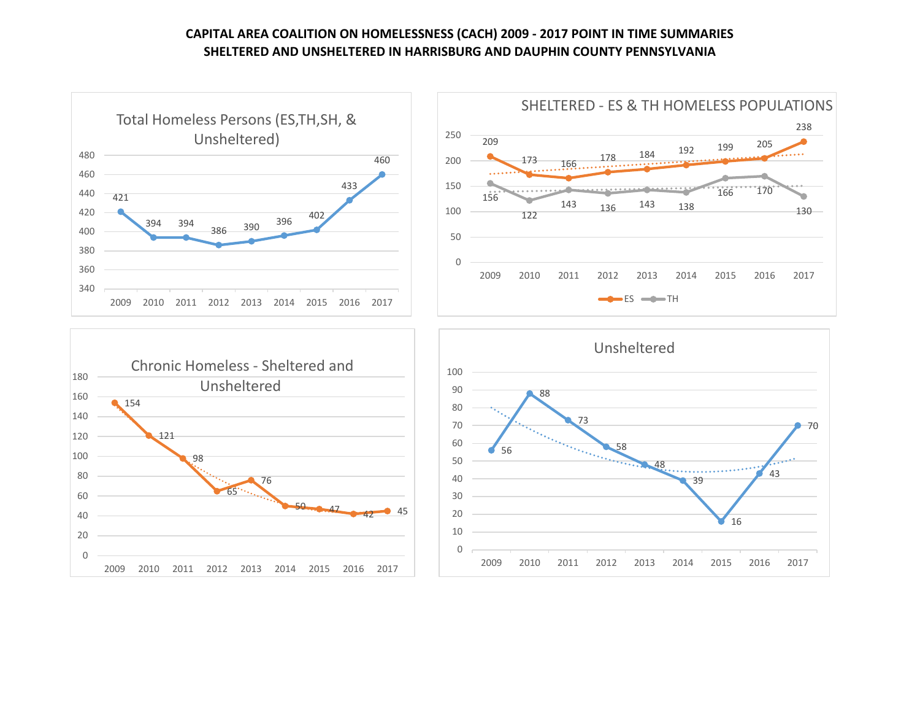## **CAPITAL AREA COALITION ON HOMELESSNESS (CACH) 2009 - 2017 POINT IN TIME SUMMARIES SHELTERED AND UNSHELTERED IN HARRISBURG AND DAUPHIN COUNTY PENNSYLVANIA**